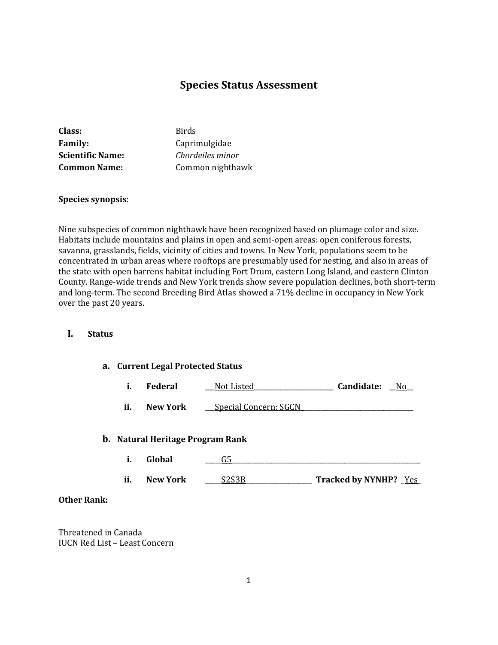# **Species Status Assessment**

| Class:                  | <b>Birds</b>     |
|-------------------------|------------------|
| <b>Family:</b>          | Caprimulgidae    |
| <b>Scientific Name:</b> | Chordeiles minor |
| <b>Common Name:</b>     | Common nighthawk |

## **Species synopsis**:

Nine subspecies of common nighthawk have been recognized based on plumage color and size. Habitats include mountains and plains in open and semi-open areas: open coniferous forests, savanna, grasslands, fields, vicinity of cities and towns. In New York, populations seem to be concentrated in urban areas where rooftops are presumably used for nesting, and also in areas of the state with open barrens habitat including Fort Drum, eastern Long Island, and eastern Clinton County. Range-wide trends and New York trends show severe population declines, both short-term and long-term. The second Breeding Bird Atlas showed a 71% decline in occupancy in New York over the past 20 years.

### **I. Status**

#### **a. Current Legal Protected Status**

| ı. | Federal | Not Listed | Candidate: | Nc |
|----|---------|------------|------------|----|
|----|---------|------------|------------|----|

**ii. New York** <u>Special Concern; SGCN</u>

#### **b. Natural Heritage Program Rank**

- **i. Global** \_\_\_\_\_G5\_\_\_\_\_\_\_\_\_\_\_\_\_\_\_\_\_\_\_\_\_\_\_\_\_\_\_\_\_\_\_\_\_\_\_\_\_\_\_\_\_\_\_\_\_\_\_\_\_\_\_\_\_\_\_\_\_
- **ii. New York** \_\_\_\_\_S2S3B\_\_\_\_\_\_\_\_\_\_\_\_\_\_\_\_\_\_\_\_ **Tracked by NYNHP?** \_Yes\_

### **Other Rank:**

Threatened in Canada IUCN Red List – Least Concern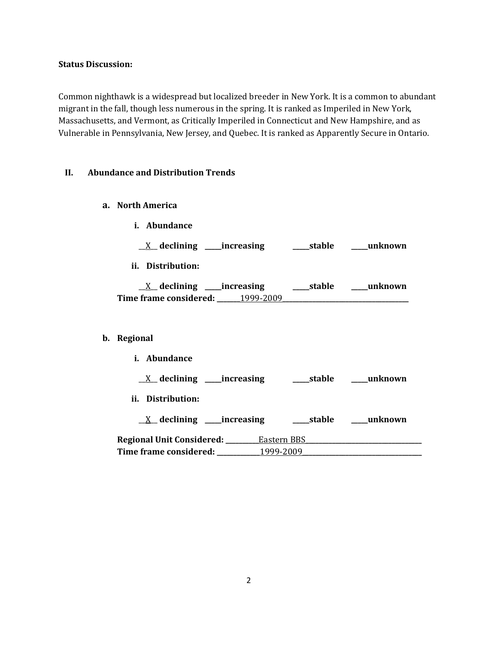# **Status Discussion:**

Common nighthawk is a widespread but localized breeder in New York. It is a common to abundant migrant in the fall, though less numerous in the spring. It is ranked as Imperiled in New York, Massachusetts, and Vermont, as Critically Imperiled in Connecticut and New Hampshire, and as Vulnerable in Pennsylvania, New Jersey, and Quebec. It is ranked as Apparently Secure in Ontario.

### **II. Abundance and Distribution Trends**

**a. North America**

**b**.

| i. Abundance                                                                     |  |
|----------------------------------------------------------------------------------|--|
|                                                                                  |  |
| ii. Distribution:                                                                |  |
| Time frame considered: 1999-2009 1999-2009                                       |  |
|                                                                                  |  |
| Regional                                                                         |  |
| i. Abundance                                                                     |  |
|                                                                                  |  |
| ii. Distribution:                                                                |  |
|                                                                                  |  |
| Regional Unit Considered: _________Eastern BBS _________________________________ |  |
| Time frame considered: ___________1999-2009                                      |  |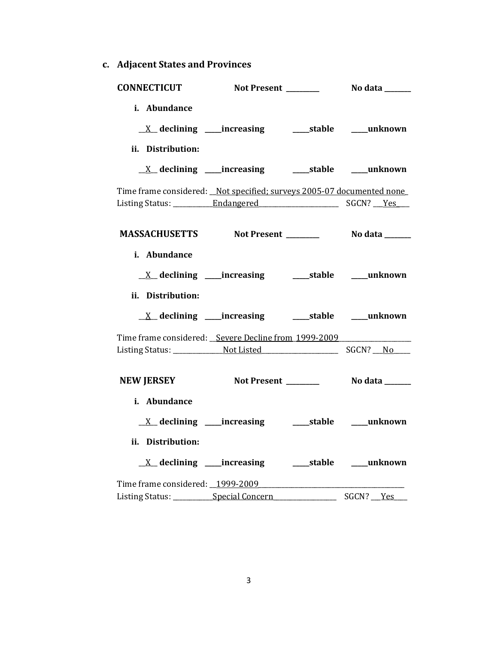**c. Adjacent States and Provinces**

| <b>CONNECTICUT</b>                                                     |                                                             |              |
|------------------------------------------------------------------------|-------------------------------------------------------------|--------------|
| i. Abundance                                                           |                                                             |              |
|                                                                        |                                                             |              |
| ii. Distribution:                                                      |                                                             |              |
|                                                                        |                                                             |              |
| Time frame considered: _Not specified; surveys 2005-07 documented none |                                                             |              |
|                                                                        |                                                             |              |
|                                                                        |                                                             |              |
| i. Abundance                                                           |                                                             |              |
|                                                                        | <u>X</u> declining ____increasing ______stable ____unknown  |              |
| ii. Distribution:                                                      |                                                             |              |
|                                                                        |                                                             |              |
| Time frame considered: Severe Decline from 1999-2009                   |                                                             |              |
|                                                                        |                                                             |              |
| <b>NEW JERSEY</b>                                                      |                                                             |              |
| i. Abundance                                                           |                                                             |              |
|                                                                        | <u>X</u> declining ____increasing _______stable ____unknown |              |
| ii. Distribution:                                                      |                                                             |              |
|                                                                        |                                                             |              |
| Time frame considered: 1999-2009                                       |                                                             |              |
| Listing Status: ______________Special Concern                          |                                                             | SGCN? __ Yes |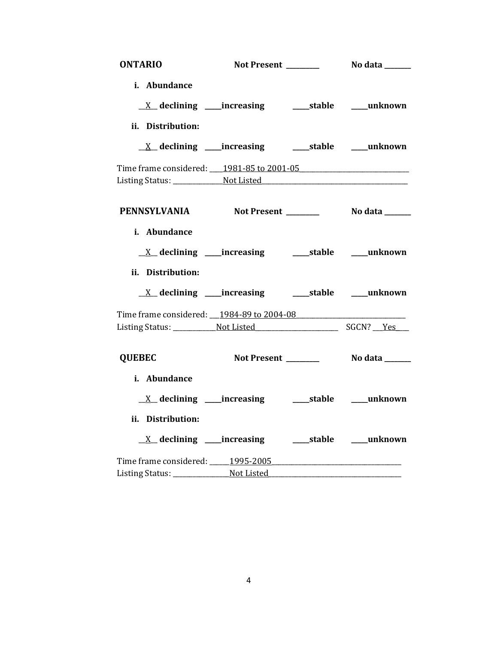| <b>ONTARIO</b>                                    |                                                            |                       |
|---------------------------------------------------|------------------------------------------------------------|-----------------------|
| i. Abundance                                      |                                                            |                       |
|                                                   |                                                            |                       |
| ii. Distribution:                                 |                                                            |                       |
|                                                   | <u>X</u> declining ____increasing ______stable ____unknown |                       |
| Time frame considered: 1981-85 to 2001-05         |                                                            |                       |
|                                                   |                                                            |                       |
|                                                   |                                                            |                       |
| PENNSYLVANIA Not Present _________ No data ______ |                                                            |                       |
|                                                   |                                                            |                       |
| i. Abundance                                      |                                                            |                       |
|                                                   |                                                            |                       |
| ii. Distribution:                                 |                                                            |                       |
|                                                   |                                                            |                       |
| Time frame considered: 1984-89 to 2004-08         |                                                            |                       |
|                                                   |                                                            |                       |
|                                                   |                                                            |                       |
| <b>QUEBEC</b>                                     | Not Present _______                                        | <b>No data</b> ______ |
| i. Abundance                                      |                                                            |                       |
|                                                   |                                                            |                       |
| ii. Distribution:                                 |                                                            |                       |
|                                                   | <u>X</u> declining ____increasing ______stable ____unknown |                       |
| Time frame considered: 1995-2005                  |                                                            |                       |
|                                                   |                                                            |                       |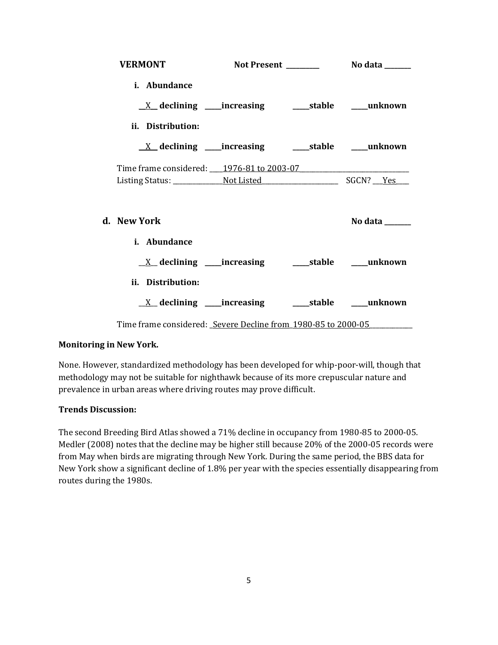| <b>VERMONT</b>                                                                                  |  |                |
|-------------------------------------------------------------------------------------------------|--|----------------|
| i. Abundance                                                                                    |  |                |
| ii. Distribution:<br><u>X</u> declining ____increasing ______stable _____unknown                |  |                |
| Time frame considered: 1976-81 to 2003-07                                                       |  |                |
| d. New York                                                                                     |  | No data ______ |
| i. Abundance<br><u>X</u> declining ____increasing ______stable ____unknown<br>ii. Distribution: |  |                |
| $\underline{X}$ declining ____increasing __________stable ______unknown                         |  |                |
| Time frame considered: Severe Decline from 1980-85 to 2000-05                                   |  |                |

## **Monitoring in New York.**

None. However, standardized methodology has been developed for whip-poor-will, though that methodology may not be suitable for nighthawk because of its more crepuscular nature and prevalence in urban areas where driving routes may prove difficult.

### **Trends Discussion:**

The second Breeding Bird Atlas showed a 71% decline in occupancy from 1980-85 to 2000-05. Medler (2008) notes that the decline may be higher still because 20% of the 2000-05 records were from May when birds are migrating through New York. During the same period, the BBS data for New York show a significant decline of 1.8% per year with the species essentially disappearing from routes during the 1980s.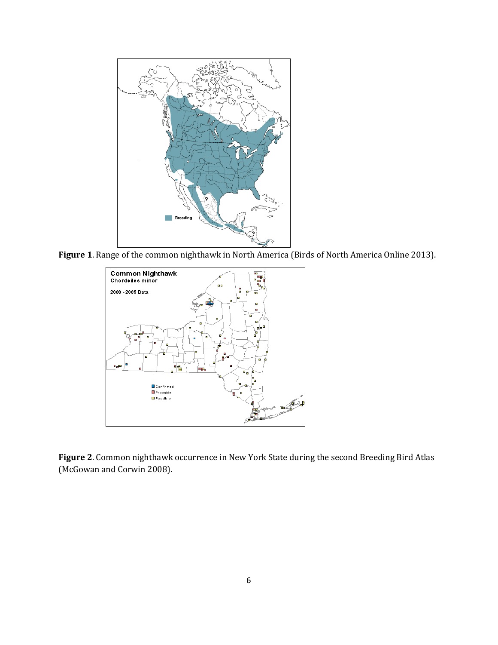

**Figure 1**. Range of the common nighthawk in North America (Birds of North America Online 2013).



**Figure 2**. Common nighthawk occurrence in New York State during the second Breeding Bird Atlas (McGowan and Corwin 2008).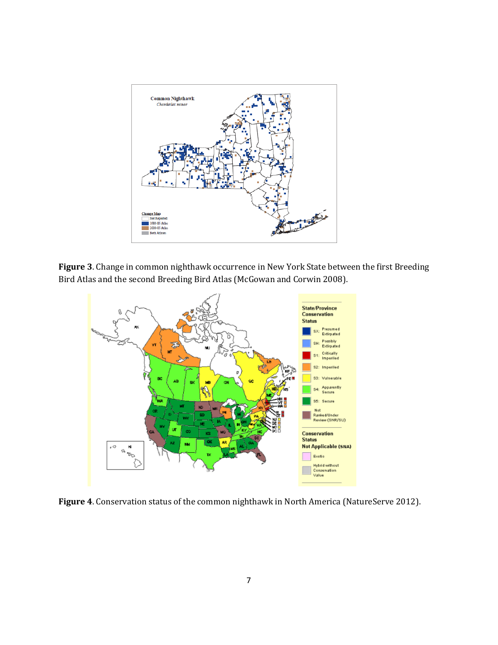

**Figure 3**. Change in common nighthawk occurrence in New York State between the first Breeding Bird Atlas and the second Breeding Bird Atlas (McGowan and Corwin 2008).



**Figure 4**. Conservation status of the common nighthawk in North America (NatureServe 2012).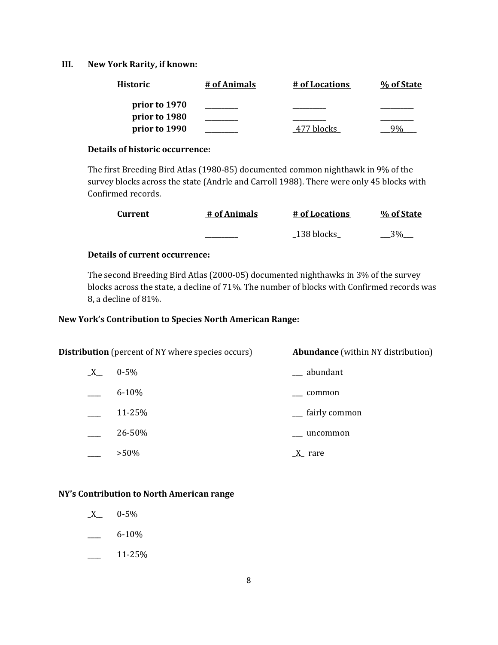## **III. New York Rarity, if known:**

| <b>Historic</b> | # of Animals | # of Locations | % of State |
|-----------------|--------------|----------------|------------|
| prior to 1970   |              |                |            |
| prior to 1980   |              |                |            |
| prior to 1990   |              | hlocks         |            |

### **Details of historic occurrence:**

The first Breeding Bird Atlas (1980-85) documented common nighthawk in 9% of the survey blocks across the state (Andrle and Carroll 1988). There were only 45 blocks with Confirmed records.

| Current | # of Animals | # of Locations | % of State |
|---------|--------------|----------------|------------|
|         |              | 138 blocks     | 30⁄^       |

# **Details of current occurrence:**

The second Breeding Bird Atlas (2000-05) documented nighthawks in 3% of the survey blocks across the state, a decline of 71%. The number of blocks with Confirmed records was 8, a decline of 81%.

# **New York's Contribution to Species North American Range:**

| <b>Distribution</b> (percent of NY where species occurs) |           | <b>Abundance</b> (within NY distribution) |
|----------------------------------------------------------|-----------|-------------------------------------------|
| $\underline{X}$                                          | $0 - 5\%$ | __ abundant                               |
|                                                          | $6 - 10%$ | common                                    |
|                                                          | 11-25%    | <sub>-</sub> fairly common                |
|                                                          | 26-50%    | uncommon                                  |
|                                                          | $>50\%$   | $\underline{X}$ rare                      |

#### **NY's Contribution to North American range**

- $X$  0-5%
- $-6-10\%$
- $\frac{11-25\%}{ }$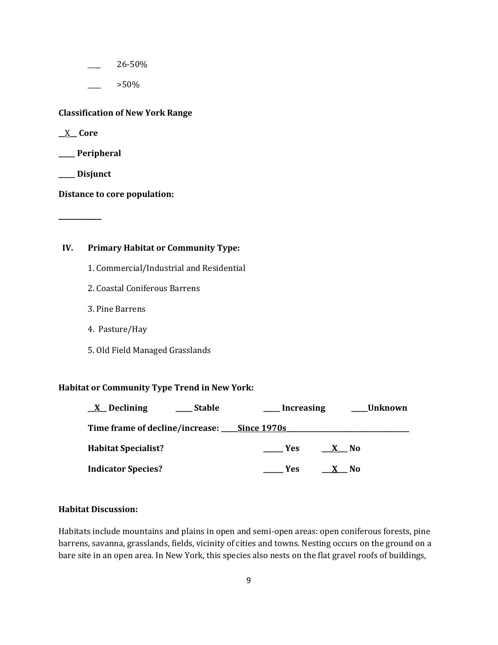\_\_\_\_ 26-50%

\_\_\_\_ >50%

**Classification of New York Range**

**\_\_**X**\_\_ Core**

**\_\_\_\_\_ Peripheral**

**\_\_\_\_\_ Disjunct**

**\_\_\_\_\_\_\_\_\_\_\_**

**Distance to core population:**

### **IV. Primary Habitat or Community Type:**

- 1. Commercial/Industrial and Residential
- 2. Coastal Coniferous Barrens
- 3. Pine Barrens
- 4. Pasture/Hay
- 5. Old Field Managed Grasslands

### **Habitat or Community Type Trend in New York:**

| <b>Stable</b><br><u>X</u> Declining                | Increasing | Unknown |
|----------------------------------------------------|------------|---------|
| Time frame of decline/increase: <u>Since 1970s</u> |            |         |
| <b>Habitat Specialist?</b>                         | <b>Yes</b> | X No    |
| <b>Indicator Species?</b>                          | Yes.       | X No    |

#### **Habitat Discussion:**

Habitats include mountains and plains in open and semi-open areas: open coniferous forests, pine barrens, savanna, grasslands, fields, vicinity of cities and towns. Nesting occurs on the ground on a bare site in an open area. In New York, this species also nests on the flat gravel roofs of buildings,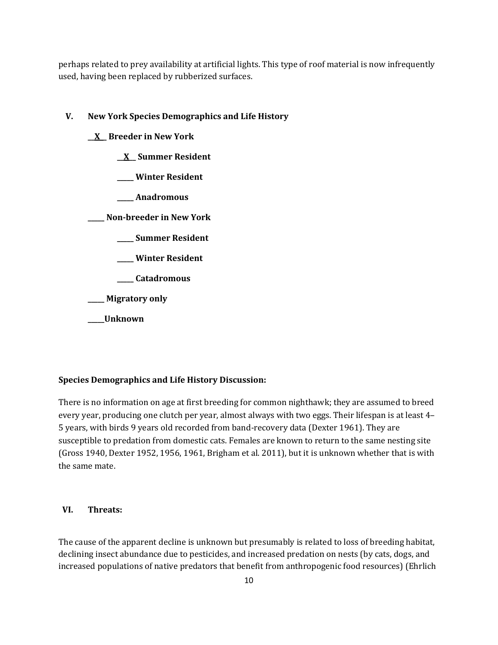perhaps related to prey availability at artificial lights. This type of roof material is now infrequently used, having been replaced by rubberized surfaces.

# **V. New York Species Demographics and Life History**

- **\_\_X\_\_ Breeder in New York**
	- **\_\_X\_\_ Summer Resident**
	- **\_\_\_\_\_ Winter Resident**
	- **\_\_\_\_\_ Anadromous**

**\_\_\_\_\_ Non-breeder in New York**

- **\_\_\_\_\_ Summer Resident**
- **\_\_\_\_\_ Winter Resident**
- **\_\_\_\_\_ Catadromous**

**\_\_\_\_\_ Migratory only**

**\_\_\_\_\_Unknown**

# **Species Demographics and Life History Discussion:**

There is no information on age at first breeding for common nighthawk; they are assumed to breed every year, producing one clutch per year, almost always with two eggs. Their lifespan is at least 4– 5 years, with birds 9 years old recorded from band-recovery data (Dexter 1961). They are susceptible to predation from domestic cats. Females are known to return to the same nesting site (Gross 1940, Dexter 1952, 1956, 1961, Brigham et al. 2011), but it is unknown whether that is with the same mate.

### **VI. Threats:**

The cause of the apparent decline is unknown but presumably is related to loss of breeding habitat, declining insect abundance due to pesticides, and increased predation on nests (by cats, dogs, and increased populations of native predators that benefit from anthropogenic food resources) (Ehrlich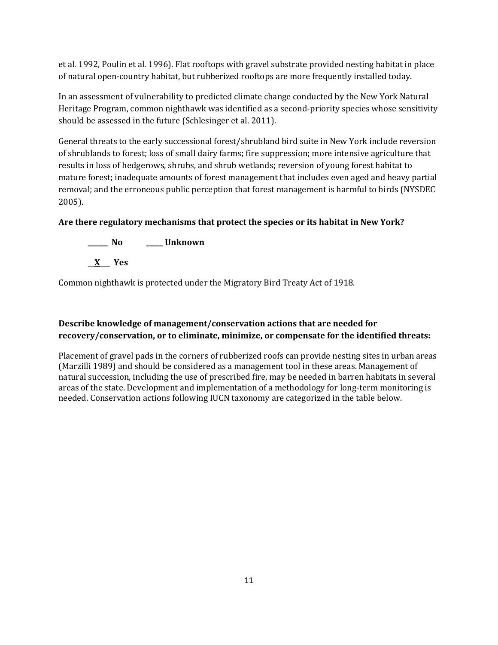et al. 1992, Poulin et al. 1996). Flat rooftops with gravel substrate provided nesting habitat in place of natural open-country habitat, but rubberized rooftops are more frequently installed today.

In an assessment of vulnerability to predicted climate change conducted by the New York Natural Heritage Program, common nighthawk was identified as a second-priority species whose sensitivity should be assessed in the future (Schlesinger et al. 2011).

General threats to the early successional forest/shrubland bird suite in New York include reversion of shrublands to forest; loss of small dairy farms; fire suppression; more intensive agriculture that results in loss of hedgerows, shrubs, and shrub wetlands; reversion of young forest habitat to mature forest; inadequate amounts of forest management that includes even aged and heavy partial removal; and the erroneous public perception that forest management is harmful to birds (NYSDEC 2005).

# **Are there regulatory mechanisms that protect the species or its habitat in New York?**



Common nighthawk is protected under the Migratory Bird Treaty Act of 1918.

# **Describe knowledge of management/conservation actions that are needed for recovery/conservation, or to eliminate, minimize, or compensate for the identified threats:**

Placement of gravel pads in the corners of rubberized roofs can provide nesting sites in urban areas [\(Marzilli 1989\)](http://bna.birds.cornell.edu/bna/species/213/articles/biblio/bib072) and should be considered as a management tool in these areas. Management of natural succession, including the use of prescribed fire, may be needed in barren habitats in several areas of the state. Development and implementation of a methodology for long-term monitoring is needed. Conservation actions following IUCN taxonomy are categorized in the table below.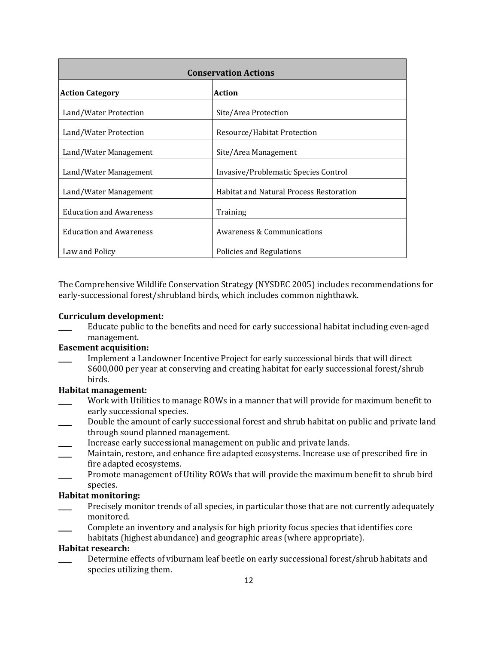| <b>Conservation Actions</b>    |                                                |  |
|--------------------------------|------------------------------------------------|--|
| <b>Action Category</b>         | <b>Action</b>                                  |  |
| Land/Water Protection          | Site/Area Protection                           |  |
| Land/Water Protection          | Resource/Habitat Protection                    |  |
| Land/Water Management          | Site/Area Management                           |  |
| Land/Water Management          | Invasive/Problematic Species Control           |  |
| Land/Water Management          | <b>Habitat and Natural Process Restoration</b> |  |
| <b>Education and Awareness</b> | Training                                       |  |
| <b>Education and Awareness</b> | Awareness & Communications                     |  |
| Law and Policy                 | Policies and Regulations                       |  |

The Comprehensive Wildlife Conservation Strategy (NYSDEC 2005) includes recommendations for early-successional forest/shrubland birds, which includes common nighthawk.

### **Curriculum development:**

Educate public to the benefits and need for early successional habitat including even-aged management.

# **Easement acquisition:**

Implement a Landowner Incentive Project for early successional birds that will direct \$600,000 per year at conserving and creating habitat for early successional forest/shrub birds.

#### **Habitat management:**

- Work with Utilities to manage ROWs in a manner that will provide for maximum benefit to early successional species.
- Double the amount of early successional forest and shrub habitat on public and private land through sound planned management.
- Increase early successional management on public and private lands.
- Maintain, restore, and enhance fire adapted ecosystems. Increase use of prescribed fire in fire adapted ecosystems.
- Promote management of Utility ROWs that will provide the maximum benefit to shrub bird species.

#### **Habitat monitoring:**

- Precisely monitor trends of all species, in particular those that are not currently adequately monitored.
- \_\_\_\_ Complete an inventory and analysis for high priority focus species that identifies core
- habitats (highest abundance) and geographic areas (where appropriate).

# **Habitat research:**

Determine effects of viburnam leaf beetle on early successional forest/shrub habitats and species utilizing them.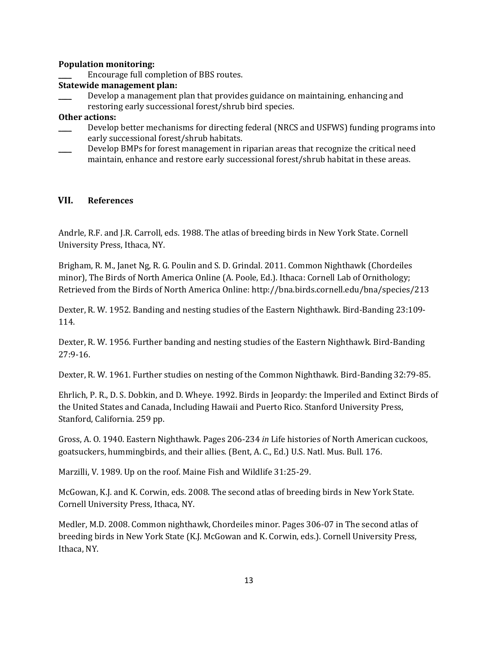### **Population monitoring:**

Encourage full completion of BBS routes.

## **Statewide management plan:**

Develop a management plan that provides guidance on maintaining, enhancing and restoring early successional forest/shrub bird species.

### **Other actions:**

- Develop better mechanisms for directing federal (NRCS and USFWS) funding programs into early successional forest/shrub habitats.
- \_\_\_\_ Develop BMPs for forest management in riparian areas that recognize the critical need maintain, enhance and restore early successional forest/shrub habitat in these areas.

### **VII. References**

Andrle, R.F. and J.R. Carroll, eds. 1988. The atlas of breeding birds in New York State. Cornell University Press, Ithaca, NY.

Brigham, R. M., Janet Ng, R. G. Poulin and S. D. Grindal. 2011. Common Nighthawk (Chordeiles minor), The Birds of North America Online (A. Poole, Ed.). Ithaca: Cornell Lab of Ornithology; Retrieved from the Birds of North America Online: http://bna.birds.cornell.edu/bna/species/213

Dexter, R. W. 1952. Banding and nesting studies of the Eastern Nighthawk. Bird-Banding 23:109- 114.

Dexter, R. W. 1956. Further banding and nesting studies of the Eastern Nighthawk. Bird-Banding 27:9-16.

Dexter, R. W. 1961. Further studies on nesting of the Common Nighthawk. Bird-Banding 32:79-85.

Ehrlich, P. R., D. S. Dobkin, and D. Wheye. 1992. Birds in Jeopardy: the Imperiled and Extinct Birds of the United States and Canada, Including Hawaii and Puerto Rico. Stanford University Press, Stanford, California. 259 pp.

Gross, A. O. 1940. Eastern Nighthawk. Pages 206-234 *in* Life histories of North American cuckoos, goatsuckers, hummingbirds, and their allies. (Bent, A. C., Ed.) U.S. Natl. Mus. Bull. 176.

Marzilli, V. 1989. Up on the roof. Maine Fish and Wildlife 31:25-29.

McGowan, K.J. and K. Corwin, eds. 2008. The second atlas of breeding birds in New York State. Cornell University Press, Ithaca, NY.

Medler, M.D. 2008. Common nighthawk, Chordeiles minor. Pages 306-07 in The second atlas of breeding birds in New York State (K.J. McGowan and K. Corwin, eds.). Cornell University Press, Ithaca, NY.